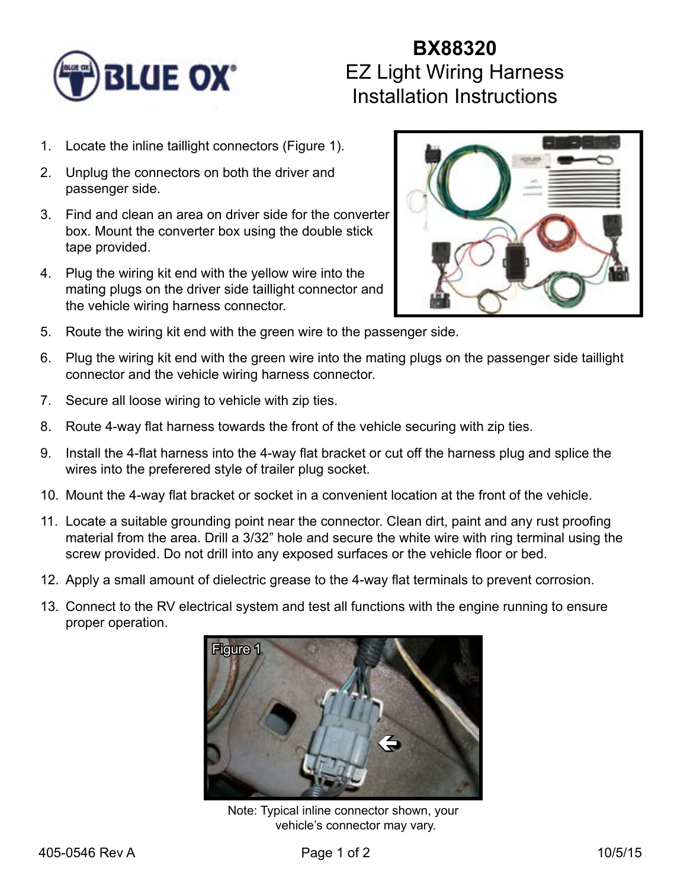

## **BX88320** EZ Light Wiring Harness Installation Instructions

- 1. Locate the inline taillight connectors (Figure 1).
- 2. Unplug the connectors on both the driver and passenger side.
- 3. Find and clean an area on driver side for the converter box. Mount the converter box using the double stick tape provided.
- 4. Plug the wiring kit end with the yellow wire into the mating plugs on the driver side taillight connector and the vehicle wiring harness connector.



- 5. Route the wiring kit end with the green wire to the passenger side.
- 6. Plug the wiring kit end with the green wire into the mating plugs on the passenger side taillight connector and the vehicle wiring harness connector.
- 7. Secure all loose wiring to vehicle with zip ties.
- 8. Route 4-way flat harness towards the front of the vehicle securing with zip ties.
- 9. Install the 4-flat harness into the 4-way flat bracket or cut off the harness plug and splice the wires into the preferered style of trailer plug socket.
- 10. Mount the 4-way flat bracket or socket in a convenient location at the front of the vehicle.
- 11. Locate a suitable grounding point near the connector. Clean dirt, paint and any rust proofing material from the area. Drill a 3/32" hole and secure the white wire with ring terminal using the screw provided. Do not drill into any exposed surfaces or the vehicle floor or bed.
- 12. Apply a small amount of dielectric grease to the 4-way flat terminals to prevent corrosion.
- 13. Connect to the RV electrical system and test all functions with the engine running to ensure proper operation.



Note: Typical inline connector shown, your vehicle's connector may vary.